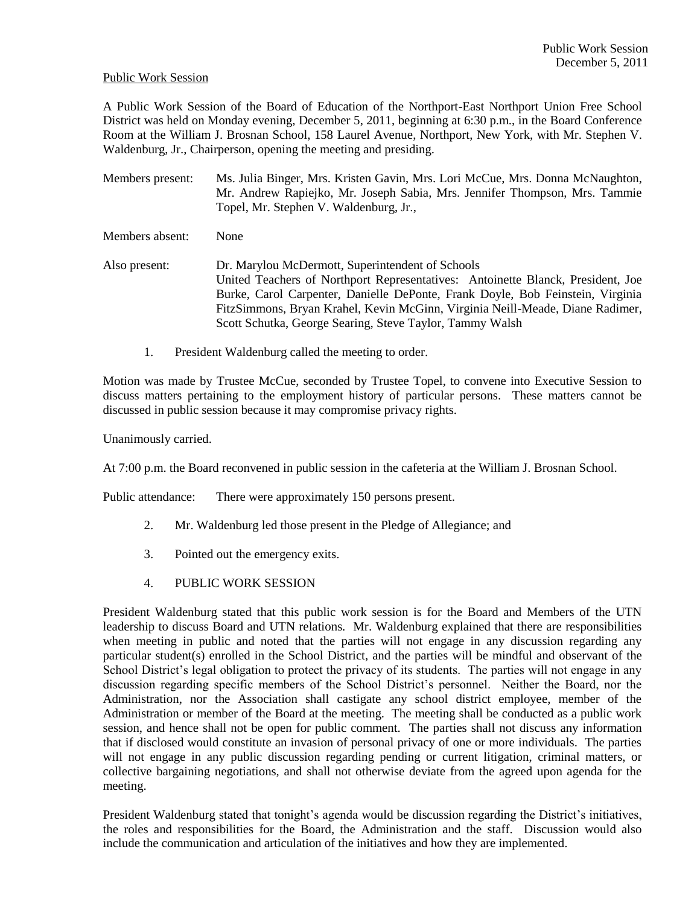## Public Work Session

A Public Work Session of the Board of Education of the Northport-East Northport Union Free School District was held on Monday evening, December 5, 2011, beginning at 6:30 p.m., in the Board Conference Room at the William J. Brosnan School, 158 Laurel Avenue, Northport, New York, with Mr. Stephen V. Waldenburg, Jr., Chairperson, opening the meeting and presiding.

- Members present: Ms. Julia Binger, Mrs. Kristen Gavin, Mrs. Lori McCue, Mrs. Donna McNaughton, Mr. Andrew Rapiejko, Mr. Joseph Sabia, Mrs. Jennifer Thompson, Mrs. Tammie Topel, Mr. Stephen V. Waldenburg, Jr.,
- Members absent: None
- Also present: Dr. Marylou McDermott, Superintendent of Schools United Teachers of Northport Representatives: Antoinette Blanck, President, Joe Burke, Carol Carpenter, Danielle DePonte, Frank Doyle, Bob Feinstein, Virginia FitzSimmons, Bryan Krahel, Kevin McGinn, Virginia Neill-Meade, Diane Radimer, Scott Schutka, George Searing, Steve Taylor, Tammy Walsh
	- 1. President Waldenburg called the meeting to order.

Motion was made by Trustee McCue, seconded by Trustee Topel, to convene into Executive Session to discuss matters pertaining to the employment history of particular persons. These matters cannot be discussed in public session because it may compromise privacy rights.

Unanimously carried.

At 7:00 p.m. the Board reconvened in public session in the cafeteria at the William J. Brosnan School.

Public attendance: There were approximately 150 persons present.

- 2. Mr. Waldenburg led those present in the Pledge of Allegiance; and
- 3. Pointed out the emergency exits.
- 4. PUBLIC WORK SESSION

President Waldenburg stated that this public work session is for the Board and Members of the UTN leadership to discuss Board and UTN relations. Mr. Waldenburg explained that there are responsibilities when meeting in public and noted that the parties will not engage in any discussion regarding any particular student(s) enrolled in the School District, and the parties will be mindful and observant of the School District's legal obligation to protect the privacy of its students. The parties will not engage in any discussion regarding specific members of the School District's personnel. Neither the Board, nor the Administration, nor the Association shall castigate any school district employee, member of the Administration or member of the Board at the meeting. The meeting shall be conducted as a public work session, and hence shall not be open for public comment. The parties shall not discuss any information that if disclosed would constitute an invasion of personal privacy of one or more individuals. The parties will not engage in any public discussion regarding pending or current litigation, criminal matters, or collective bargaining negotiations, and shall not otherwise deviate from the agreed upon agenda for the meeting.

President Waldenburg stated that tonight's agenda would be discussion regarding the District's initiatives, the roles and responsibilities for the Board, the Administration and the staff. Discussion would also include the communication and articulation of the initiatives and how they are implemented.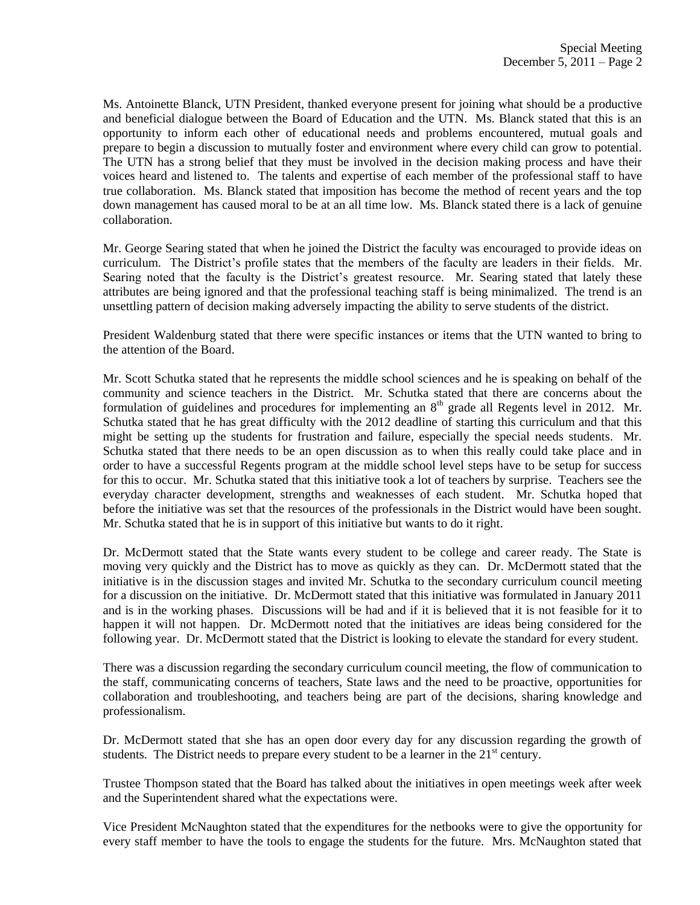Ms. Antoinette Blanck, UTN President, thanked everyone present for joining what should be a productive and beneficial dialogue between the Board of Education and the UTN. Ms. Blanck stated that this is an opportunity to inform each other of educational needs and problems encountered, mutual goals and prepare to begin a discussion to mutually foster and environment where every child can grow to potential. The UTN has a strong belief that they must be involved in the decision making process and have their voices heard and listened to. The talents and expertise of each member of the professional staff to have true collaboration. Ms. Blanck stated that imposition has become the method of recent years and the top down management has caused moral to be at an all time low. Ms. Blanck stated there is a lack of genuine collaboration.

Mr. George Searing stated that when he joined the District the faculty was encouraged to provide ideas on curriculum. The District's profile states that the members of the faculty are leaders in their fields. Mr. Searing noted that the faculty is the District's greatest resource. Mr. Searing stated that lately these attributes are being ignored and that the professional teaching staff is being minimalized. The trend is an unsettling pattern of decision making adversely impacting the ability to serve students of the district.

President Waldenburg stated that there were specific instances or items that the UTN wanted to bring to the attention of the Board.

Mr. Scott Schutka stated that he represents the middle school sciences and he is speaking on behalf of the community and science teachers in the District. Mr. Schutka stated that there are concerns about the formulation of guidelines and procedures for implementing an  $8<sup>th</sup>$  grade all Regents level in 2012. Mr. Schutka stated that he has great difficulty with the 2012 deadline of starting this curriculum and that this might be setting up the students for frustration and failure, especially the special needs students. Mr. Schutka stated that there needs to be an open discussion as to when this really could take place and in order to have a successful Regents program at the middle school level steps have to be setup for success for this to occur. Mr. Schutka stated that this initiative took a lot of teachers by surprise. Teachers see the everyday character development, strengths and weaknesses of each student. Mr. Schutka hoped that before the initiative was set that the resources of the professionals in the District would have been sought. Mr. Schutka stated that he is in support of this initiative but wants to do it right.

Dr. McDermott stated that the State wants every student to be college and career ready. The State is moving very quickly and the District has to move as quickly as they can. Dr. McDermott stated that the initiative is in the discussion stages and invited Mr. Schutka to the secondary curriculum council meeting for a discussion on the initiative. Dr. McDermott stated that this initiative was formulated in January 2011 and is in the working phases. Discussions will be had and if it is believed that it is not feasible for it to happen it will not happen. Dr. McDermott noted that the initiatives are ideas being considered for the following year. Dr. McDermott stated that the District is looking to elevate the standard for every student.

There was a discussion regarding the secondary curriculum council meeting, the flow of communication to the staff, communicating concerns of teachers, State laws and the need to be proactive, opportunities for collaboration and troubleshooting, and teachers being are part of the decisions, sharing knowledge and professionalism.

Dr. McDermott stated that she has an open door every day for any discussion regarding the growth of students. The District needs to prepare every student to be a learner in the  $21<sup>st</sup>$  century.

Trustee Thompson stated that the Board has talked about the initiatives in open meetings week after week and the Superintendent shared what the expectations were.

Vice President McNaughton stated that the expenditures for the netbooks were to give the opportunity for every staff member to have the tools to engage the students for the future. Mrs. McNaughton stated that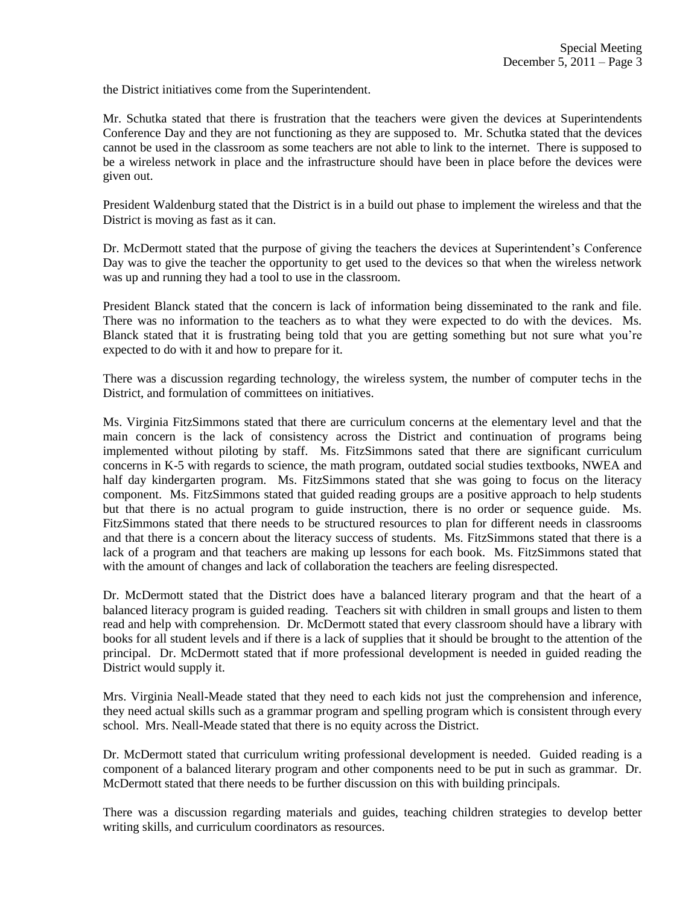the District initiatives come from the Superintendent.

Mr. Schutka stated that there is frustration that the teachers were given the devices at Superintendents Conference Day and they are not functioning as they are supposed to. Mr. Schutka stated that the devices cannot be used in the classroom as some teachers are not able to link to the internet. There is supposed to be a wireless network in place and the infrastructure should have been in place before the devices were given out.

President Waldenburg stated that the District is in a build out phase to implement the wireless and that the District is moving as fast as it can.

Dr. McDermott stated that the purpose of giving the teachers the devices at Superintendent's Conference Day was to give the teacher the opportunity to get used to the devices so that when the wireless network was up and running they had a tool to use in the classroom.

President Blanck stated that the concern is lack of information being disseminated to the rank and file. There was no information to the teachers as to what they were expected to do with the devices. Ms. Blanck stated that it is frustrating being told that you are getting something but not sure what you're expected to do with it and how to prepare for it.

There was a discussion regarding technology, the wireless system, the number of computer techs in the District, and formulation of committees on initiatives.

Ms. Virginia FitzSimmons stated that there are curriculum concerns at the elementary level and that the main concern is the lack of consistency across the District and continuation of programs being implemented without piloting by staff. Ms. FitzSimmons sated that there are significant curriculum concerns in K-5 with regards to science, the math program, outdated social studies textbooks, NWEA and half day kindergarten program. Ms. FitzSimmons stated that she was going to focus on the literacy component. Ms. FitzSimmons stated that guided reading groups are a positive approach to help students but that there is no actual program to guide instruction, there is no order or sequence guide. Ms. FitzSimmons stated that there needs to be structured resources to plan for different needs in classrooms and that there is a concern about the literacy success of students. Ms. FitzSimmons stated that there is a lack of a program and that teachers are making up lessons for each book. Ms. FitzSimmons stated that with the amount of changes and lack of collaboration the teachers are feeling disrespected.

Dr. McDermott stated that the District does have a balanced literary program and that the heart of a balanced literacy program is guided reading. Teachers sit with children in small groups and listen to them read and help with comprehension. Dr. McDermott stated that every classroom should have a library with books for all student levels and if there is a lack of supplies that it should be brought to the attention of the principal. Dr. McDermott stated that if more professional development is needed in guided reading the District would supply it.

Mrs. Virginia Neall-Meade stated that they need to each kids not just the comprehension and inference, they need actual skills such as a grammar program and spelling program which is consistent through every school. Mrs. Neall-Meade stated that there is no equity across the District.

Dr. McDermott stated that curriculum writing professional development is needed. Guided reading is a component of a balanced literary program and other components need to be put in such as grammar. Dr. McDermott stated that there needs to be further discussion on this with building principals.

There was a discussion regarding materials and guides, teaching children strategies to develop better writing skills, and curriculum coordinators as resources.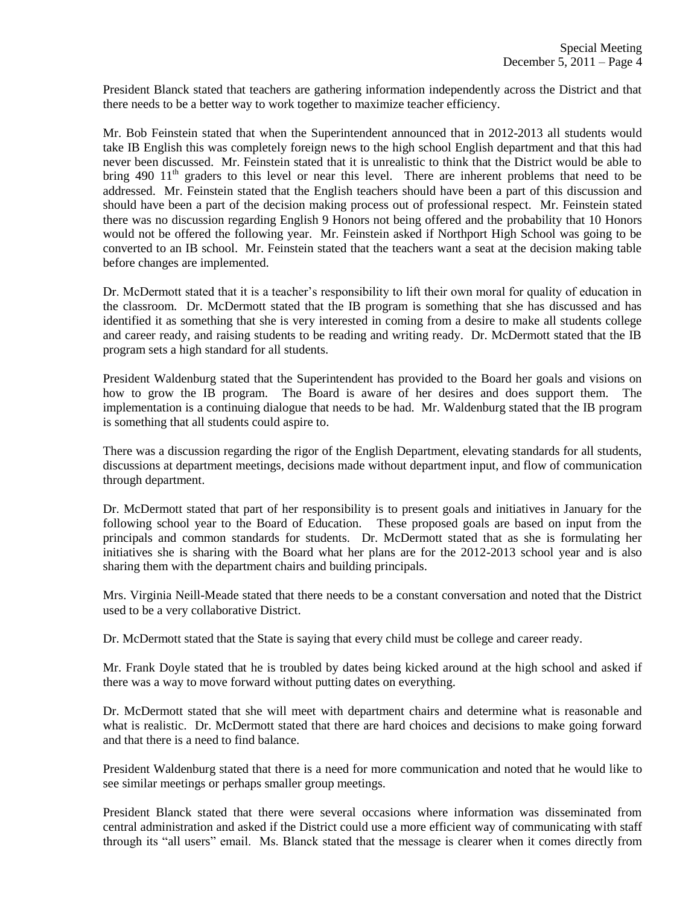President Blanck stated that teachers are gathering information independently across the District and that there needs to be a better way to work together to maximize teacher efficiency.

Mr. Bob Feinstein stated that when the Superintendent announced that in 2012-2013 all students would take IB English this was completely foreign news to the high school English department and that this had never been discussed. Mr. Feinstein stated that it is unrealistic to think that the District would be able to bring 490  $11<sup>th</sup>$  graders to this level or near this level. There are inherent problems that need to be addressed. Mr. Feinstein stated that the English teachers should have been a part of this discussion and should have been a part of the decision making process out of professional respect. Mr. Feinstein stated there was no discussion regarding English 9 Honors not being offered and the probability that 10 Honors would not be offered the following year. Mr. Feinstein asked if Northport High School was going to be converted to an IB school. Mr. Feinstein stated that the teachers want a seat at the decision making table before changes are implemented.

Dr. McDermott stated that it is a teacher's responsibility to lift their own moral for quality of education in the classroom. Dr. McDermott stated that the IB program is something that she has discussed and has identified it as something that she is very interested in coming from a desire to make all students college and career ready, and raising students to be reading and writing ready. Dr. McDermott stated that the IB program sets a high standard for all students.

President Waldenburg stated that the Superintendent has provided to the Board her goals and visions on how to grow the IB program. The Board is aware of her desires and does support them. The implementation is a continuing dialogue that needs to be had. Mr. Waldenburg stated that the IB program is something that all students could aspire to.

There was a discussion regarding the rigor of the English Department, elevating standards for all students, discussions at department meetings, decisions made without department input, and flow of communication through department.

Dr. McDermott stated that part of her responsibility is to present goals and initiatives in January for the following school year to the Board of Education. These proposed goals are based on input from the principals and common standards for students. Dr. McDermott stated that as she is formulating her initiatives she is sharing with the Board what her plans are for the 2012-2013 school year and is also sharing them with the department chairs and building principals.

Mrs. Virginia Neill-Meade stated that there needs to be a constant conversation and noted that the District used to be a very collaborative District.

Dr. McDermott stated that the State is saying that every child must be college and career ready.

Mr. Frank Doyle stated that he is troubled by dates being kicked around at the high school and asked if there was a way to move forward without putting dates on everything.

Dr. McDermott stated that she will meet with department chairs and determine what is reasonable and what is realistic. Dr. McDermott stated that there are hard choices and decisions to make going forward and that there is a need to find balance.

President Waldenburg stated that there is a need for more communication and noted that he would like to see similar meetings or perhaps smaller group meetings.

President Blanck stated that there were several occasions where information was disseminated from central administration and asked if the District could use a more efficient way of communicating with staff through its "all users" email. Ms. Blanck stated that the message is clearer when it comes directly from